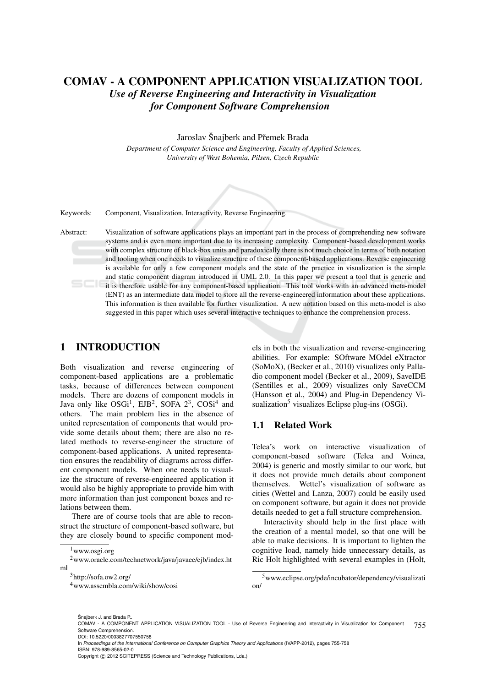# COMAV - A COMPONENT APPLICATION VISUALIZATION TOOL *Use of Reverse Engineering and Interactivity in Visualization for Component Software Comprehension*

#### Jaroslav Šnajberk and Přemek Brada

*Department of Computer Science and Engineering, Faculty of Applied Sciences, University of West Bohemia, Pilsen, Czech Republic*



Keywords: Component, Visualization, Interactivity, Reverse Engineering.

Abstract: Visualization of software applications plays an important part in the process of comprehending new software systems and is even more important due to its increasing complexity. Component-based development works with complex structure of black-box units and paradoxically there is not much choice in terms of both notation and tooling when one needs to visualize structure of these component-based applications. Reverse engineering is available for only a few component models and the state of the practice in visualization is the simple and static component diagram introduced in UML 2.0. In this paper we present a tool that is generic and it is therefore usable for any component-based application. This tool works with an advanced meta-model (ENT) as an intermediate data model to store all the reverse-engineered information about these applications. This information is then available for further visualization. A new notation based on this meta-model is also suggested in this paper which uses several interactive techniques to enhance the comprehension process.

### 1 INTRODUCTION

Both visualization and reverse engineering of component-based applications are a problematic tasks, because of differences between component models. There are dozens of component models in Java only like  $OSGi<sup>1</sup>$ ,  $EJB<sup>2</sup>$ ,  $SOFA 2<sup>3</sup>$ ,  $COSi<sup>4</sup>$  and others. The main problem lies in the absence of united representation of components that would provide some details about them; there are also no related methods to reverse-engineer the structure of component-based applications. A united representation ensures the readability of diagrams across different component models. When one needs to visualize the structure of reverse-engineered application it would also be highly appropriate to provide him with more information than just component boxes and relations between them.

There are of course tools that are able to reconstruct the structure of component-based software, but they are closely bound to specific component mod-

Šnajberk J. and Brada P..

<sup>4</sup>www.assembla.com/wiki/show/cosi

els in both the visualization and reverse-engineering abilities. For example: SOftware MOdel eXtractor (SoMoX), (Becker et al., 2010) visualizes only Palladio component model (Becker et al., 2009), SaveIDE (Sentilles et al., 2009) visualizes only SaveCCM (Hansson et al., 2004) and Plug-in Dependency Visualization<sup>5</sup> visualizes Eclipse plug-ins  $(OSGi)$ .

### 1.1 Related Work

Telea's work on interactive visualization of component-based software (Telea and Voinea, 2004) is generic and mostly similar to our work, but it does not provide much details about component themselves. Wettel's visualization of software as cities (Wettel and Lanza, 2007) could be easily used on component software, but again it does not provide details needed to get a full structure comprehension.

Interactivity should help in the first place with the creation of a mental model, so that one will be able to make decisions. It is important to lighten the cognitive load, namely hide unnecessary details, as Ric Holt highlighted with several examples in (Holt,

755

<sup>1</sup>www.osgi.org

<sup>2</sup>www.oracle.com/technetwork/java/javaee/ejb/index.ht ml

<sup>3</sup>http://sofa.ow2.org/

<sup>5</sup>www.eclipse.org/pde/incubator/dependency/visualizati on/

COMAV - A COMPONENT APPLICATION VISUALIZATION TOOL - Use of Reverse Engineering and Interactivity in Visualization for Component Software Comprehension. DOI: 10.5220/0003827707550758

In *Proceedings of the International Conference on Computer Graphics Theory and Applications* (IVAPP-2012), pages 755-758 ISBN: 978-989-8565-02-0

Copyright © 2012 SCITEPRESS (Science and Technology Publications, Lda.)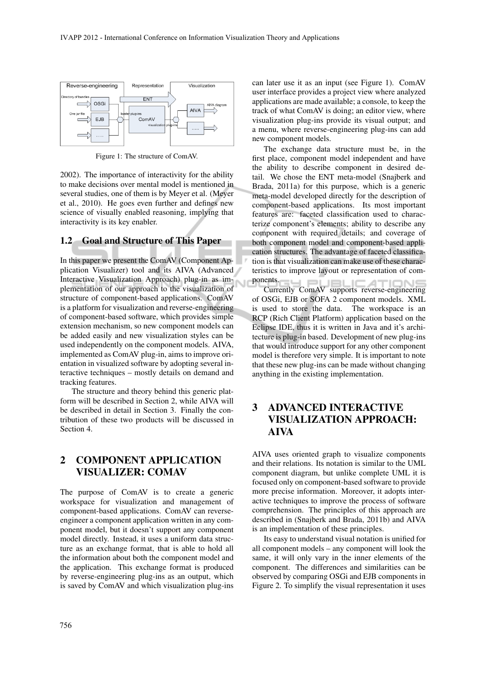

Figure 1: The structure of ComAV.

2002). The importance of interactivity for the ability to make decisions over mental model is mentioned in several studies, one of them is by Meyer et al. (Meyer et al., 2010). He goes even further and defines new science of visually enabled reasoning, implying that interactivity is its key enabler.

#### 1.2 Goal and Structure of This Paper

In this paper we present the ComAV (Component Application Visualizer) tool and its AIVA (Advanced Interactive Visualization Approach) plug-in as implementation of our approach to the visualization of structure of component-based applications. ComAV is a platform for visualization and reverse-engineering of component-based software, which provides simple extension mechanism, so new component models can be added easily and new visualization styles can be used independently on the component models. AIVA, implemented as ComAV plug-in, aims to improve orientation in visualized software by adopting several interactive techniques – mostly details on demand and tracking features.

The structure and theory behind this generic platform will be described in Section 2, while AIVA will be described in detail in Section 3. Finally the contribution of these two products will be discussed in Section 4.

## 2 COMPONENT APPLICATION VISUALIZER: COMAV

The purpose of ComAV is to create a generic workspace for visualization and management of component-based applications. ComAV can reverseengineer a component application written in any component model, but it doesn't support any component model directly. Instead, it uses a uniform data structure as an exchange format, that is able to hold all the information about both the component model and the application. This exchange format is produced by reverse-engineering plug-ins as an output, which is saved by ComAV and which visualization plug-ins

can later use it as an input (see Figure 1). ComAV user interface provides a project view where analyzed applications are made available; a console, to keep the track of what ComAV is doing; an editor view, where visualization plug-ins provide its visual output; and a menu, where reverse-engineering plug-ins can add new component models.

The exchange data structure must be, in the first place, component model independent and have the ability to describe component in desired detail. We chose the ENT meta-model (Snajberk and Brada, 2011a) for this purpose, which is a generic meta-model developed directly for the description of component-based applications. Its most important features are: faceted classification used to characterize component's elements; ability to describe any component with required details; and coverage of both component model and component-based application structures. The advantage of faceted classification is that visualization can make use of these characteristics to improve layout or representation of components.

ents.<br>Currently ComAV supports reverse-engineering of OSGi, EJB or SOFA 2 component models. XML is used to store the data. The workspace is an RCP (Rich Client Platform) application based on the Eclipse IDE, thus it is written in Java and it's architecture is plug-in based. Development of new plug-ins that would introduce support for any other component model is therefore very simple. It is important to note that these new plug-ins can be made without changing anything in the existing implementation.

# 3 ADVANCED INTERACTIVE VISUALIZATION APPROACH: AIVA

AIVA uses oriented graph to visualize components and their relations. Its notation is similar to the UML component diagram, but unlike complete UML it is focused only on component-based software to provide more precise information. Moreover, it adopts interactive techniques to improve the process of software comprehension. The principles of this approach are described in (Snajberk and Brada, 2011b) and AIVA is an implementation of these principles.

Its easy to understand visual notation is unified for all component models – any component will look the same, it will only vary in the inner elements of the component. The differences and similarities can be observed by comparing OSGi and EJB components in Figure 2. To simplify the visual representation it uses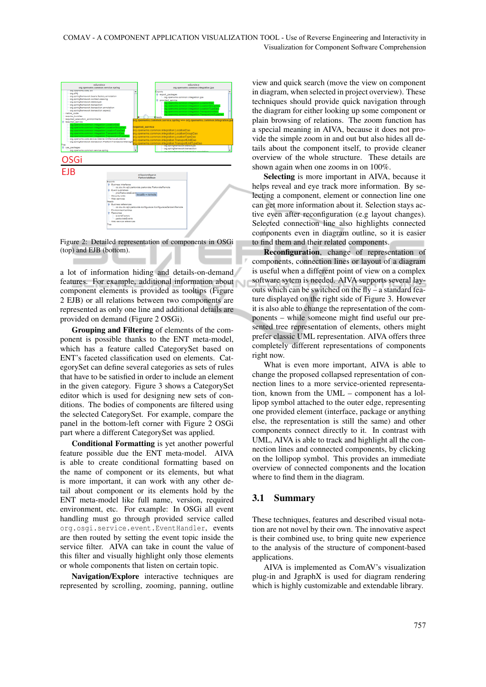

Figure 2: Detailed representation of components in OSGi (top) and EJB (bottom).

a lot of information hiding and details-on-demand features. For example, additional information about component elements is provided as tooltips (Figure 2 EJB) or all relations between two components are represented as only one line and additional details are provided on demand (Figure 2 OSGi).

Grouping and Filtering of elements of the component is possible thanks to the ENT meta-model, which has a feature called CategorySet based on ENT's faceted classification used on elements. CategorySet can define several categories as sets of rules that have to be satisfied in order to include an element in the given category. Figure 3 shows a CategorySet editor which is used for designing new sets of conditions. The bodies of components are filtered using the selected CategorySet. For example, compare the panel in the bottom-left corner with Figure 2 OSGi part where a different CategorySet was applied.

Conditional Formatting is yet another powerful feature possible due the ENT meta-model. AIVA is able to create conditional formatting based on the name of component or its elements, but what is more important, it can work with any other detail about component or its elements hold by the ENT meta-model like full name, version, required environment, etc. For example: In OSGi all event handling must go through provided service called org.osgi.service.event.EventHandler, events are then routed by setting the event topic inside the service filter. AIVA can take in count the value of this filter and visually highlight only those elements or whole components that listen on certain topic.

Navigation/Explore interactive techniques are represented by scrolling, zooming, panning, outline

view and quick search (move the view on component in diagram, when selected in project overview). These techniques should provide quick navigation through the diagram for either looking up some component or plain browsing of relations. The zoom function has a special meaning in AIVA, because it does not provide the simple zoom in and out but also hides all details about the component itself, to provide cleaner overview of the whole structure. These details are shown again when one zooms in on 100%.

Selecting is more important in AIVA, because it helps reveal and eye track more information. By selecting a component, element or connection line one can get more information about it. Selection stays active even after reconfiguration (e.g layout changes). Selected connection line also highlights connected components even in diagram outline, so it is easier to find them and their related components.

Reconfiguration, change of representation of components, connection lines or layout of a diagram is useful when a different point of view on a complex software sytem is needed. AIVA supports several layouts which can be switched on the fly – a standard feature displayed on the right side of Figure 3. However it is also able to change the representation of the components – while someone might find useful our presented tree representation of elements, others might prefer classic UML representation. AIVA offers three completely different representations of components right now.

What is even more important, AIVA is able to change the proposed collapsed representation of connection lines to a more service-oriented representation, known from the UML – component has a lollipop symbol attached to the outer edge, representing one provided element (interface, package or anything else, the representation is still the same) and other components connect directly to it. In contrast with UML, AIVA is able to track and highlight all the connection lines and connected components, by clicking on the lollipop symbol. This provides an immediate overview of connected components and the location where to find them in the diagram.

### 3.1 Summary

These techniques, features and described visual notation are not novel by their own. The innovative aspect is their combined use, to bring quite new experience to the analysis of the structure of component-based applications.

AIVA is implemented as ComAV's visualization plug-in and JgraphX is used for diagram rendering which is highly customizable and extendable library.